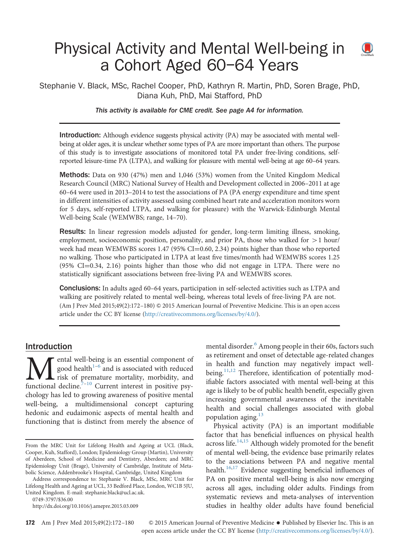# Physical Activity and Mental Well-being in  $\bigcirc$ a Cohort Aged 60–64 Years

Stephanie V. Black, MSc, Rachel Cooper, PhD, Kathryn R. Martin, PhD, Soren Brage, PhD, Diana Kuh, PhD, Mai Stafford, PhD

This activity is available for CME credit. See page A4 for information.

**Introduction:** Although evidence suggests physical activity (PA) may be associated with mental wellbeing at older ages, it is unclear whether some types of PA are more important than others. The purpose of this study is to investigate associations of monitored total PA under free-living conditions, selfreported leisure-time PA (LTPA), and walking for pleasure with mental well-being at age 60–64 years.

**Methods:** Data on 930 (47%) men and 1,046 (53%) women from the United Kingdom Medical Research Council (MRC) National Survey of Health and Development collected in 2006–2011 at age 60–64 were used in 2013–2014 to test the associations of PA (PA energy expenditure and time spent in different intensities of activity assessed using combined heart rate and acceleration monitors worn for 5 days, self-reported LTPA, and walking for pleasure) with the Warwick-Edinburgh Mental Well-being Scale (WEMWBS; range, 14–70).

Results: In linear regression models adjusted for gender, long-term limiting illness, smoking, employment, socioeconomic position, personality, and prior PA, those who walked for  $>1$  hour/ week had mean WEMWBS scores  $1.47$  (95% CI=0.60, 2.34) points higher than those who reported no walking. Those who participated in LTPA at least five times/month had WEMWBS scores 1.25  $(95\% \text{ CI} = 0.34, 2.16)$  points higher than those who did not engage in LTPA. There were no statistically significant associations between free-living PA and WEMWBS scores.

**Conclusions:** In adults aged 60–64 years, participation in self-selected activities such as LTPA and walking are positively related to mental well-being, whereas total levels of free-living PA are not. (Am J Prev Med 2015;49(2):172–180) & 2015 American Journal of Preventive Medicine. This is an open access article under the CC BY license (http://creativecommons.org/licenses/by/4.0/).

### Introduction

**M**ental well-[be](#page-6-0)i[n](#page-7-0)g is an essential component of good health<sup>1-6</sup> and is associated with reduced risk of premature mortality, morbidity, and functional decline.<sup>7-10</sup> Current interest in positive psyental well-being is an essential component of good health<sup>1–6</sup> and is associated with reduced risk of premature mortality, morbidity, and chology has led to growing awareness of positive mental well-being, a multidimensional concept capturing hedonic and eudaimonic aspects of mental health and functioning that is distinct from merely the absence of

Address correspondence to: Stephanie V. Black, MSc, MRC Unit for Lifelong Health and Ageing at UCL, 33 Bedford Place, London, WC1B 5JU, United Kingdom. E-mail: [stephanie.black@ucl.ac.uk.](mailto:stephanie.black@ucl.ac.uk)

[0749-3797/\\$36.00](mailto:stephanie.black@ucl.ac.uk)

<http://dx.doi.org/10.1016/j.amepre.2015.03.009>

mental disorder.<sup>6</sup> Among people in their 60s, factors such as retirement and onset of detectable age-related changes in health and function may negatively impact wellbeing.<sup>11,12</sup> Therefore, identification of potentially modifiable factors associated with mental well-being at this age is likely to be of public health benefit, especially given increasing governmental awareness of the inevitable health and social challenges associated with global population aging.<sup>[13](#page-7-0)</sup>

Physical activity (PA) is an important modifiable factor that has beneficial influences on physical health across life. $14,15$  Although widely promoted for the benefit of mental well-being, the evidence base primarily relates to the associations between PA and negative mental health.<sup>16,17</sup> Evidence suggesting beneficial influences of PA on positive mental well-being is also now emerging across all ages, including older adults. Findings from systematic reviews and meta-analyses of intervention studies in healthy older adults have found beneficial

172 Am J Prev Med 2015;49(2):172-180  $\otimes$  2015 American Journal of Preventive Medicine  $\bullet$  Published by Elsevier Inc. This is an open access article under the CC BY license (http://creativecommons.org/licenses/by/4.0/).

From the MRC Unit for Lifelong Health and Ageing at UCL (Black, Cooper, Kuh, Stafford), London; Epidemiology Group (Martin), University of Aberdeen, School of Medicine and Dentistry, Aberdeen; and MRC Epidemiology Unit (Brage), University of Cambridge, Institute of Metabolic Science, Addenbrooke's Hospital, Cambridge, United Kingdom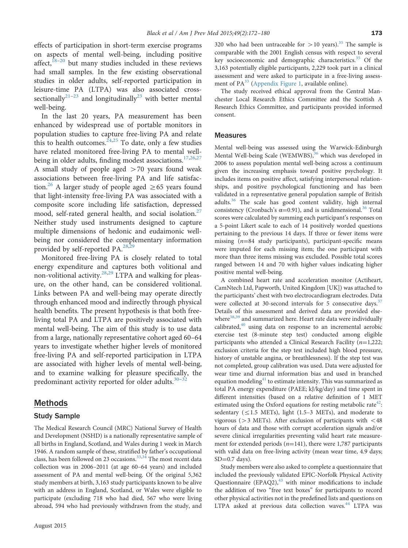effects of participation in short-term exercise programs on aspects of mental well-being, including positive affect, $18-20$  $18-20$  $18-20$  but many studies included in these reviews had small samples. In the few existing observational studies in older adults, self-reported participation in leisure-time PA (LTPA) was also associated cross-sectionally<sup>[21](#page-7-0)–[23](#page-7-0)</sup> and longitudinally<sup>23</sup> with better mental well-being.

In the last 20 years, PA measurement has been enhanced by widespread use of portable monitors in population studies to capture free-living PA and relate this to health outcomes.  $2^{4,25}$  To date, only a few studies have related monitored free-living PA to mental well-being in older adults, finding modest associations.<sup>[17,26,27](#page-7-0)</sup> A small study of people aged  $>70$  years found weak associations between free-living PA and life satisfaction.<sup>26</sup> A larger study of people aged  $\geq$  65 years found that light-intensity free-living PA was associated with a composite score including life satisfaction, depressed mood, self-rated general health, and social isolation.<sup>27</sup> Neither study used instruments designed to capture multiple dimensions of hedonic and eudaimonic wellbeing nor considered the complementary information provided by self-reported  $PA.^{28,29}$  $PA.^{28,29}$  $PA.^{28,29}$  $PA.^{28,29}$  $PA.^{28,29}$ .

Monitored free-living PA is closely related to total energy expenditure and captures both volitional and non-volitional activity.<sup>28,29</sup> LTPA and walking for pleasure, on the other hand, can be considered volitional. Links between PA and well-being may operate directly through enhanced mood and indirectly through physical health benefits. The present hypothesis is that both freeliving total PA and LTPA are positively associated with mental well-being. The aim of this study is to use data from a large, nationally representative cohort aged 60–64 years to investigate whether higher levels of monitored free-living PA and self-reported participation in LTPA are associated with higher levels of mental well-being, and to examine walking for pleasure specifically, the predominant activity reported for older adults. $30-32$  $30-32$  $30-32$ 

### Methods

#### Study Sample

The Medical Research Council (MRC) National Survey of Health and Development (NSHD) is a nationally representative sample of all births in England, Scotland, and Wales during 1 week in March 1946. A random sample of these, stratified by father's occupational class, has been followed on 23 occasions.<sup>[33](#page-7-0),[34](#page-7-0)</sup> The most recent data collection was in 2006–2011 (at age 60–64 years) and included assessment of PA and mental well-being. Of the original 5,362 study members at birth, 3,163 study participants known to be alive with an address in England, Scotland, or Wales were eligible to participate (excluding 718 who had died, 567 who were living abroad, 594 who had previously withdrawn from the study, and 320 who had been untraceable for  $>$  10 years).<sup>[35](#page-7-0)</sup> The sample is comparable with the 2001 English census with respect to several key socioeconomic and demographic characteristics.<sup>[35](#page-7-0)</sup> Of the 3,163 potentially eligible participants, 2,229 took part in a clinical assessment and were asked to participate in a free-living assessment of  $PA^{33}$  ([Appendix Figure 1,](#page-8-0) available online).

The study received ethical approval from the Central Manchester Local Research Ethics Committee and the Scottish A Research Ethics Committee, and participants provided informed consent.

#### **Measures**

Mental well-being was assessed using the Warwick-Edinburgh Mental Well-being Scale (WEMWBS),<sup>36</sup> which was developed in 2006 to assess population mental well-being across a continuum given the increasing emphasis toward positive psychology. It includes items on positive affect, satisfying interpersonal relationships, and positive psychological functioning and has been validated in a representative general population sample of British adults.<sup>36</sup> The scale has good content validity, high internal consistency (Cronbach's  $\alpha$ =0.91), and is unidimensional.<sup>[36](#page-7-0)</sup> Total scores were calculated by summing each participant's responses on a 5-point Likert scale to each of 14 positively worded questions pertaining to the previous 14 days. If three or fewer items were missing  $(n=84$  study participants), participant-specific means were imputed for each missing item; the one participant with more than three items missing was excluded. Possible total scores ranged between 14 and 70 with higher values indicating higher positive mental well-being.

A combined heart rate and acceleration monitor (Actiheart, CamNtech Ltd, Papworth, United Kingdom [UK]) was attached to the participants' chest with two electrocardiogram electrodes. Data were collected at 30-second intervals for 5 consecutive days.<sup>[37](#page-7-0)</sup> Details of this assessment and derived data are provided elsewhere  $38,39}$  $38,39}$  $38,39}$  $38,39}$  and summarized here. Heart rate data were individually calibrated, $40$  using data on response to an incremental aerobic exercise test (8-minute step test) conducted among eligible participants who attended a Clinical Research Facility  $(n=1,222;$ exclusion criteria for the step test included high blood pressure, history of unstable angina, or breathlessness). If the step test was not completed, group calibration was used. Data were adjusted for wear time and diurnal information bias and used in branched equation modeling $41$  to estimate intensity. This was summarized as total PA energy expenditure (PAEE; kJ/kg/day) and time spent in different intensities (based on a relative definition of 1 MET estimated using the Oxford equations for resting metabolic rate<sup>[42](#page-8-0)</sup>: sedentary ( $\leq$ 1.5 METs), light (1.5–3 METs), and moderate to vigorous ( $>$ 3 METs). After exclusion of participants with  $<$  48 hours of data and those with corrupt acceleration signals and/or severe clinical irregularities preventing valid heart rate measurement for extended periods ( $n=141$ ), there were 1,787 participants with valid data on free-living activity (mean wear time, 4.9 days;  $SD=0.7$  days).

Study members were also asked to complete a questionnaire that included the previously validated EPIC-Norfolk Physical Activity Questionnaire  $(EPAQ2)$ ,  $43$  with minor modifications to include the addition of two "free text boxes" for participants to record other physical activities not in the predefined lists and questions on LTPA asked at previous data collection waves.<sup>[44](#page-8-0)</sup> LTPA was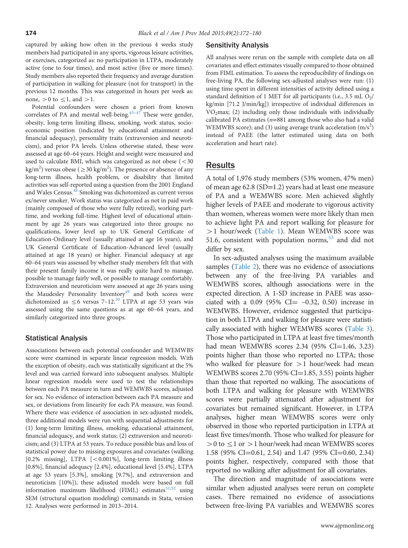captured by asking how often in the previous 4 weeks study members had participated in any sports, vigorous leisure activities, or exercises, categorized as: no participation in LTPA, moderately active (one to four times), and most active (five or more times). Study members also reported their frequency and average duration of participation in walking for pleasure (not for transport) in the previous 12 months. This was categorized in hours per week as: none,  $>0$  to  $\leq$ 1, and  $>1$ .

Potential confounders were chosen a priori from known correlates of PA and mental well-being.<sup> $45-47$  $45-47$ </sup> These were gender, obesity, long-term limiting illness, smoking, work status, socioeconomic position (indicated by educational attainment and financial adequacy), personality traits (extraversion and neuroticism), and prior PA levels. Unless otherwise stated, these were assessed at age 60–64 years. Height and weight were measured and used to calculate BMI, which was categorized as not obese  $\left( < 30 \right)$ kg/m<sup>2</sup>) versus obese ( $\geq$  30 kg/m<sup>2</sup>). The presence or absence of any long-term illness, health problem, or disability that limited activities was self-reported using a question from the 2001 England and Wales Census.<sup>[48](#page-8-0)</sup> Smoking was dichotomized as current versus ex/never smoker. Work status was categorized as not in paid work (mainly composed of those who were fully retired), working parttime, and working full-time. Highest level of educational attainment by age 26 years was categorized into three groups: no qualifications, lower level up to UK General Certificate of Education-Ordinary level (usually attained at age 16 years), and UK General Certificate of Education-Advanced level (usually attained at age 18 years) or higher. Financial adequacy at age 60–64 years was assessed by whether study members felt that with their present family income it was really quite hard to manage, possible to manage fairly well, or possible to manage comfortably. Extraversion and neuroticism were assessed at age 26 years using the Maudesley Personality Inventory<sup>[49](#page-8-0)</sup> and both scores were dichotomized as  $\leq$  6 versus 7–12.<sup>[50](#page-8-0)</sup> LTPA at age 53 years was assessed using the same questions as at age 60–64 years, and similarly categorized into three groups.

### Statistical Analysis

Associations between each potential confounder and WEMWBS score were examined in separate linear regression models. With the exception of obesity, each was statistically significant at the 5% level and was carried forward into subsequent analyses. Multiple linear regression models were used to test the relationships between each PA measure in turn and WEMWBS scores, adjusted for sex. No evidence of interaction between each PA measure and sex, or deviations from linearity for each PA measure, was found. Where there was evidence of association in sex-adjusted models, three additional models were run with sequential adjustments for (1) long-term limiting illness, smoking, educational attainment, financial adequacy, and work status; (2) extraversion and neuroticism; and (3) LTPA at 53 years. To reduce possible bias and loss of statistical power due to missing exposures and covariates (walking [0.2% missing], LTPA  $[< 0.001\%]$ , long-term limiting illness [0.8%], financial adequacy [2.4%], educational level [5.4%], LTPA at age 53 years [5.3%], smoking [9.7%], and extraversion and neuroticism [10%]), these adjusted models were based on full information maximum likelihood (FIML) estimates $51,52$  $51,52$  $51,52$  using SEM (structural equation modeling) commands in Stata, version 12. Analyses were performed in 2013–2014.

#### Sensitivity Analysis

All analyses were rerun on the sample with complete data on all covariates and effect estimates visually compared to those obtained from FIML estimation. To assess the reproducibility of findings on free-living PA, the following sex-adjusted analyses were run: (1) using time spent in different intensities of activity defined using a standard definition of 1 MET for all participants (i.e., 3.5 mL  $O_2/$ kg/min [71.2 J/min/kg]) irrespective of individual differences in  $VO<sub>2</sub>max$ ; (2) including only those individuals with individually calibrated PA estimates ( $n=881$  among those who also had a valid WEMWBS score); and (3) using average trunk acceleration  $(m/s^2)$ instead of PAEE (the latter estimated using data on both acceleration and heart rate).

## Results

A total of 1,976 study members (53% women, 47% men) of mean age 62.8 (SD=1.2) years had at least one measure of PA and a WEMWBS score. Men achieved slightly higher levels of PAEE and moderate to vigorous activity than women, whereas women were more likely than men to achieve light PA and report walking for pleasure for >1 hour/week ([Table 1](#page-4-0)). Mean WEMWBS score was 51.6, consistent with population norms,<sup>[53](#page-8-0)</sup> and did not differ by sex.

In sex-adjusted analyses using the maximum available samples ([Table 2\)](#page-5-0), there was no evidence of associations between any of the free-living PA variables and WEMWBS scores, although associations were in the expected direction. A 1-SD increase in PAEE was associated with a 0.09 (95% CI $=$  -0.32, 0.50) increase in WEMWBS. However, evidence suggested that participation in both LTPA and walking for pleasure were statistically associated with higher WEMWBS scores [\(Table 3](#page-6-0)). Those who participated in LTPA at least five times/month had mean WEMWBS scores  $2.34$  (95% CI=1.46, 3.23) points higher than those who reported no LTPA; those who walked for pleasure for  $>1$  hour/week had mean WEMWBS scores  $2.70$  (95% CI=1.85, 3.55) points higher than those that reported no walking. The associations of both LTPA and walking for pleasure with WEMWBS scores were partially attenuated after adjustment for covariates but remained significant. However, in LTPA analyses, higher mean WEMWBS scores were only observed in those who reported participation in LTPA at least five times/month. Those who walked for pleasure for  $>0$  to  $\leq$  1 or  $>$  1 hour/week had mean WEMWBS scores 1.58 (95% CI=0.61, 2.54) and 1.47 (95% CI=0.60, 2.34) points higher, respectively, compared with those that reported no walking after adjustment for all covariates.

The direction and magnitude of associations were similar when adjusted analyses were rerun on complete cases. There remained no evidence of associations between free-living PA variables and WEMWBS scores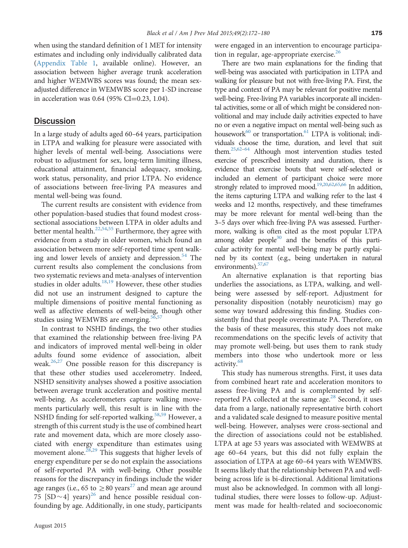when using the standard definition of 1 MET for intensity estimates and including only individually calibrated data ([Appendix Table 1](#page-8-0), available online). However, an association between higher average trunk acceleration and higher WEMWBS scores was found; the mean sexadjusted difference in WEMWBS score per 1-SD increase in acceleration was  $0.64$  (95% CI=0.23, 1.04).

### **Discussion**

In a large study of adults aged 60–64 years, participation in LTPA and walking for pleasure were associated with higher levels of mental well-being. Associations were robust to adjustment for sex, long-term limiting illness, educational attainment, financial adequacy, smoking, work status, personality, and prior LTPA. No evidence of associations between free-living PA measures and mental well-being was found.

The current results are consistent with evidence from other population-based studies that found modest crosssectional associations between LTPA in older adults and better mental health. $22,54,55$  $22,54,55$  $22,54,55$  $22,54,55$  Furthermore, they agree with evidence from a study in older women, which found an association between more self-reported time spent walking and lower levels of anxiety and depression.<sup>54</sup> The current results also complement the conclusions from two systematic reviews and meta-analyses of intervention studies in older adults. $18,19$  $18,19$  However, these other studies did not use an instrument designed to capture the multiple dimensions of positive mental functioning as well as affective elements of well-being, though other studies using WEMWBS are emerging.<sup>[56](#page-8-0),[57](#page-8-0)</sup>

In contrast to NSHD findings, the two other studies that examined the relationship between free-living PA and indicators of improved mental well-being in older adults found some evidence of association, albeit weak.<sup>26,27</sup> One possible reason for this discrepancy is that these other studies used accelerometry. Indeed, NSHD sensitivity analyses showed a positive association between average trunk acceleration and positive mental well-being. As accelerometers capture walking movements particularly well, this result is in line with the NSHD finding for self-reported walking.<sup>[58,59](#page-8-0)</sup> However, a strength of this current study is the use of combined heart rate and movement data, which are more closely associated with energy expenditure than estimates using movement alone.<sup>[28,29](#page-7-0)</sup> This suggests that higher levels of energy expenditure per se do not explain the associations of self-reported PA with well-being. Other possible reasons for the discrepancy in findings include the wider age ranges (i.e., 65 to  $\geq$  80 years<sup>[27](#page-7-0)</sup> and mean age around 75  $[SD \sim 4]$  years)<sup>[26](#page-7-0)</sup> and hence possible residual confounding by age. Additionally, in one study, participants

were engaged in an intervention to encourage participation in regular, age-appropriate exercise. $26$ 

There are two main explanations for the finding that well-being was associated with participation in LTPA and walking for pleasure but not with free-living PA. First, the type and context of PA may be relevant for positive mental well-being. Free-living PA variables incorporate all incidental activities, some or all of which might be considered nonvolitional and may include daily activities expected to have no or even a negative impact on mental well-being such as housework<sup>60</sup> or transportation.<sup>61</sup> LTPA is volitional; individuals choose the time, duration, and level that suit them[.25](#page-7-0)[,62](#page-8-0)–[64](#page-8-0) Although most intervention studies tested exercise of prescribed intensity and duration, there is evidence that exercise bouts that were self-selected or included an element of participant choice were more strongly related to improved mood.<sup>19,20,[62,65,66](#page-8-0)</sup> In addition, the items capturing LTPA and walking refer to the last 4 weeks and 12 months, respectively, and these timeframes may be more relevant for mental well-being than the 3–5 days over which free-living PA was assessed. Furthermore, walking is often cited as the most popular LTPA among older people $30$  and the benefits of this particular activity for mental well-being may be partly explained by its context (e.g., being undertaken in natural environments)[.57,67](#page-8-0)

An alternative explanation is that reporting bias underlies the associations, as LTPA, walking, and wellbeing were assessed by self-report. Adjustment for personality disposition (notably neuroticism) may go some way toward addressing this finding. Studies consistently find that people overestimate PA. Therefore, on the basis of these measures, this study does not make recommendations on the specific levels of activity that may promote well-being, but uses them to rank study members into those who undertook more or less activity.<sup>[68](#page-8-0)</sup>

This study has numerous strengths. First, it uses data from combined heart rate and acceleration monitors to assess free-living PA and is complemented by self-reported PA collected at the same age.<sup>[28](#page-7-0)</sup> Second, it uses data from a large, nationally representative birth cohort and a validated scale designed to measure positive mental well-being. However, analyses were cross-sectional and the direction of associations could not be established. LTPA at age 53 years was associated with WEMWBS at age 60–64 years, but this did not fully explain the association of LTPA at age 60–64 years with WEMWBS. It seems likely that the relationship between PA and wellbeing across life is bi-directional. Additional limitations must also be acknowledged. In common with all longitudinal studies, there were losses to follow-up. Adjustment was made for health-related and socioeconomic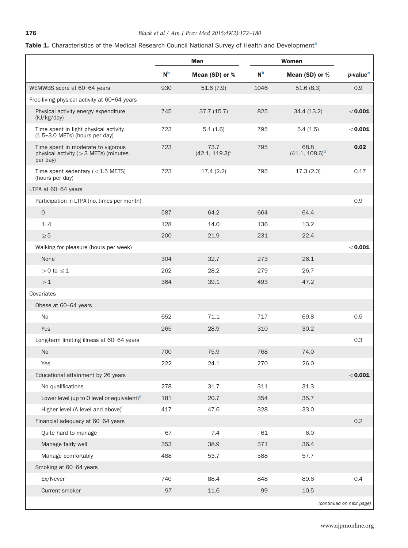# <span id="page-4-0"></span>T[a](#page-5-0)ble 1. Characteristics of the Medical Research Council National Survey of Health and Development<sup>a</sup>

|                                                                                            | Men            |                           |                | Women                     |                          |
|--------------------------------------------------------------------------------------------|----------------|---------------------------|----------------|---------------------------|--------------------------|
|                                                                                            | N <sub>b</sub> | Mean (SD) or %            | N <sub>b</sub> | Mean (SD) or %            | $p$ -value $c$           |
| WEMWBS score at 60-64 years                                                                | 930            | 51.6(7.9)                 | 1046           | 51.6(8.3)                 | 0.9                      |
| Free-living physical activity at 60-64 years                                               |                |                           |                |                           |                          |
| Physical activity energy expenditure<br>(kJ/kg/day)                                        | 745            | 37.7(15.7)                | 825            | 34.4(13.2)                | $<$ 0.001                |
| Time spent in light physical activity<br>$(1.5-3.0$ METs) (hours per day)                  | 723            | 5.1(1.6)                  | 795            | 5.4(1.5)                  | < 0.001                  |
| Time spent in moderate to vigorous<br>physical activity ( $>$ 3 METs) (minutes<br>per day) | 723            | 73.7<br>$(42.1, 119.3)^d$ | 795            | 68.8<br>$(41.1, 108.6)^d$ | 0.02                     |
| Time spent sedentary $(<1.5$ METS)<br>(hours per day)                                      | 723            | 17.4(2.2)                 | 795            | 17.3(2.0)                 | 0.17                     |
| LTPA at 60-64 years                                                                        |                |                           |                |                           |                          |
| Participation in LTPA (no. times per month)                                                |                |                           |                |                           | 0.9                      |
| $\overline{O}$                                                                             | 587            | 64.2                      | 664            | 64.4                      |                          |
| $1 - 4$                                                                                    | 128            | 14.0                      | 136            | 13.2                      |                          |
| $\geq 5$                                                                                   | 200            | 21.9                      | 231            | 22.4                      |                          |
| Walking for pleasure (hours per week)                                                      |                |                           |                |                           | < 0.001                  |
| None                                                                                       | 304            | 32.7                      | 273            | 26.1                      |                          |
| $>0$ to $\leq$ 1                                                                           | 262            | 28.2                      | 279            | 26.7                      |                          |
| >1                                                                                         | 364            | 39.1                      | 493            | 47.2                      |                          |
| Covariates                                                                                 |                |                           |                |                           |                          |
| Obese at 60-64 years                                                                       |                |                           |                |                           |                          |
| <b>No</b>                                                                                  | 652            | 71.1                      | 717            | 69.8                      | 0.5                      |
| Yes                                                                                        | 265            | 28.9                      | 310            | 30.2                      |                          |
| Long-term limiting illness at 60-64 years                                                  |                |                           |                |                           | 0.3                      |
| <b>No</b>                                                                                  | 700            | 75.9                      | 768            | 74.0                      |                          |
| Yes                                                                                        | 222            | 24.1                      | 270            | 26.0                      |                          |
| Educational attainment by 26 years                                                         |                |                           |                |                           | < 0.001                  |
| No qualifications                                                                          | 278            | 31.7                      | 311            | 31.3                      |                          |
| Lower level (up to $O$ level or equivalent) $e^$                                           | 181            | 20.7                      | 354            | 35.7                      |                          |
| Higher level (A level and above) <sup>†</sup>                                              | 417            | 47.6                      | 328            | 33.0                      |                          |
| Financial adequacy at 60-64 years                                                          |                |                           |                |                           | 0.2                      |
| Quite hard to manage                                                                       | 67             | 7.4                       | 61             | 6.0                       |                          |
| Manage fairly well                                                                         | 353            | 38.9                      | 371            | 36.4                      |                          |
| Manage comfortably                                                                         | 488            | 53.7                      | 588            | 57.7                      |                          |
| Smoking at 60-64 years                                                                     |                |                           |                |                           |                          |
| Ex/Never                                                                                   | 740            | 88.4                      | 848            | 89.6                      | 0.4                      |
| Current smoker                                                                             | 97             | $11.6\,$                  | 99             | 10.5                      |                          |
|                                                                                            |                |                           |                |                           | (continued on next page) |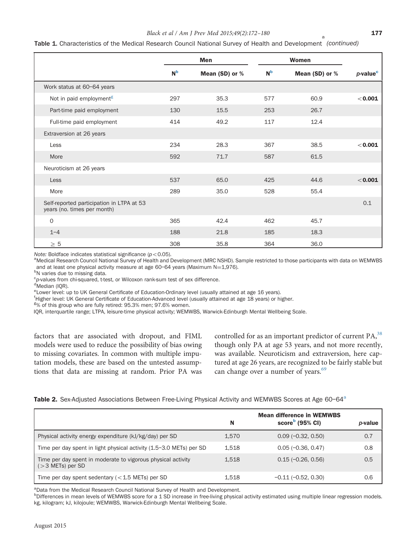### Black et al / Am J Prev Med 2015;49(2):172-180 177

<span id="page-5-0"></span>Table 1. Characteristics of the Medical Research Council National Survey of Health and Development (continued) a

|                                                                          | <b>Men</b>     |                | Women          |                |                      |
|--------------------------------------------------------------------------|----------------|----------------|----------------|----------------|----------------------|
|                                                                          | N <sub>b</sub> | Mean (SD) or % | N <sub>b</sub> | Mean (SD) or % | p-value <sup>c</sup> |
| Work status at 60-64 years                                               |                |                |                |                |                      |
| Not in paid employment <sup>g</sup>                                      | 297            | 35.3           | 577            | 60.9           | $<$ 0.001            |
| Part-time paid employment                                                | 130            | 15.5           | 253            | 26.7           |                      |
| Full-time paid employment                                                | 414            | 49.2           | 117            | 12.4           |                      |
| Extraversion at 26 years                                                 |                |                |                |                |                      |
| Less                                                                     | 234            | 28.3           | 367            | 38.5           | < 0.001              |
| More                                                                     | 592            | 71.7           | 587            | 61.5           |                      |
| Neuroticism at 26 years                                                  |                |                |                |                |                      |
| Less                                                                     | 537            | 65.0           | 425            | 44.6           | $<$ 0.001            |
| More                                                                     | 289            | 35.0           | 528            | 55.4           |                      |
| Self-reported participation in LTPA at 53<br>years (no. times per month) |                |                |                |                | 0.1                  |
| $\mathbf{O}$                                                             | 365            | 42.4           | 462            | 45.7           |                      |
| $1 - 4$                                                                  | 188            | 21.8           | 185            | 18.3           |                      |
| $\geq\,5$                                                                | 308            | 35.8           | 364            | 36.0           |                      |

Note: Boldface indicates statistical significance ( $p < 0.05$ ).

aMedical Research Council National Survey of Health and Development (MRC NSHD). Sample restricted to those participants with data on WEMWBS and at least one physical activity measure at age 60-64 years (Maximum  $N=1,976$ ).

<sup>b</sup>N varies due to missing data.

<sup>c</sup>p-values from chi-squared, t-test, or Wilcoxon rank-sum test of sex difference.<br><sup>d</sup>Median (IOP)

<sup>d'</sup>Median (IQR).

e<br>Lower level: up to UK General Certificate of Education-Ordinary level (usually attained at age 16 years).<br>[Higher level: UK Ceneral Certificate of Education Advanced level (usually attained at age 18 years) or higher

<sup>†</sup>Higher level: UK General Certificate of Education-Advanced level (usually attained at age 18 years) or higher.

 $8\%$  of this group who are fully retired: 95.3% men; 97.6% women.

IQR, interquartile range; LTPA, leisure-time physical activity; WEMWBS, Warwick-Edinburgh Mental Wellbeing Scale.

factors that are associated with dropout, and FIML models were used to reduce the possibility of bias owing to missing covariates. In common with multiple imputation models, these are based on the untested assumptions that data are missing at random. Prior PA was

controlled for as an important predictor of current PA,<sup>38</sup> though only PA at age 53 years, and not more recently, was available. Neuroticism and extraversion, here captured at age 26 years, are recognized to be fairly stable but can change over a number of years.<sup>[69](#page-8-0)</sup>

Table 2. Sex-Adjusted Associations Between Free-Living Physical Activity and WEMWBS Scores at Age 60-64<sup>a</sup>

|                                                                                    | N     | <b>Mean difference in WEMWBS</b><br>score $b$ (95% CI) | p-value |
|------------------------------------------------------------------------------------|-------|--------------------------------------------------------|---------|
| Physical activity energy expenditure (kJ/kg/day) per SD                            | 1.570 | $0.09(-0.32, 0.50)$                                    | 0.7     |
| Time per day spent in light physical activity (1.5–3.0 METs) per SD                | 1.518 | $0.05(-0.36, 0.47)$                                    | 0.8     |
| Time per day spent in moderate to vigorous physical activity<br>$(>3$ METs) per SD | 1.518 | $0.15(-0.26, 0.56)$                                    | 0.5     |
| Time per day spent sedentary ( $<$ 1.5 METs) per SD                                | 1,518 | $-0.11(-0.52, 0.30)$                                   | 0.6     |

<sup>a</sup>Data from the Medical Research Council National Survey of Health and Development.

b Differences in mean levels of WEMWBS score for a 1 SD increase in free-living physical activity estimated using multiple linear regression models. kg, kilogram; kJ, kilojoule; WEMWBS, Warwick-Edinburgh Mental Wellbeing Scale.

August 2015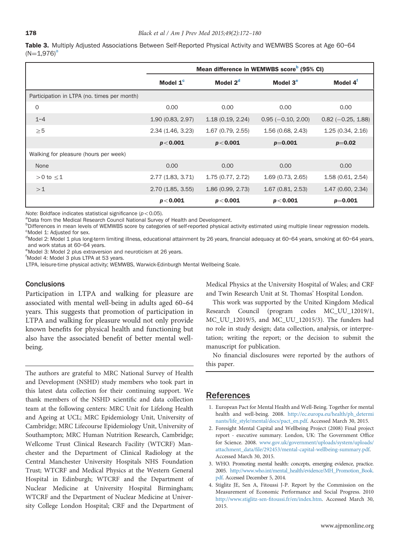<span id="page-6-0"></span>Table 3. Multiply Adjusted Associations Between Self-Reported Physical Activity and WEMWBS Scores at Age 60-64  $(N=1,976)^a$ 

|                                             | Mean difference in WEMWBS score <sup>b</sup> (95% CI) |                      |                      |                      |  |
|---------------------------------------------|-------------------------------------------------------|----------------------|----------------------|----------------------|--|
|                                             | Model 1 <sup>c</sup>                                  | Model 2 <sup>d</sup> | Model 3 <sup>e</sup> | Model 4 <sup>t</sup> |  |
| Participation in LTPA (no. times per month) |                                                       |                      |                      |                      |  |
| $\mathbf 0$                                 | 0.00                                                  | 0.00                 | 0.00                 | 0.00                 |  |
| $1 - 4$                                     | 1.90(0.83, 2.97)                                      | 1.18(0.19, 2.24)     | $0.95(-0.10, 2.00)$  | $0.82$ (-0.25, 1.88) |  |
| $\geq 5$                                    | 2.34(1.46, 3.23)                                      | 1.67 (0.79, 2.55)    | 1.56 (0.68, 2.43)    | 1.25(0.34, 2.16)     |  |
|                                             | p < 0.001                                             | p < 0.001            | $p=0.001$            | $p=0.02$             |  |
| Walking for pleasure (hours per week)       |                                                       |                      |                      |                      |  |
| None                                        | 0.00                                                  | 0.00                 | 0.00                 | 0.00                 |  |
| $>0$ to $\leq$ 1                            | 2.77 (1.83, 3.71)                                     | 1.75(0.77, 2.72)     | 1.69(0.73, 2.65)     | 1.58(0.61, 2.54)     |  |
| >1                                          | 2.70(1.85, 3.55)                                      | 1.86(0.99, 2.73)     | 1.67(0.81, 2.53)     | 1.47(0.60, 2.34)     |  |
|                                             | p < 0.001                                             | p < 0.001            | p < 0.001            | $p=0.001$            |  |

Note: Boldface indicates statistical significance ( $p < 0.05$ ).

<sup>a</sup>Data from the Medical Research Council National Survey of Health and Development.

**b**Differences in mean levels of WEMWBS score by categories of self-reported physical activity estimated using multiple linear regression models. <sup>c</sup>Model 1: Adjusted for sex.

<sup>d</sup>Model 2: Model 1 plus long-term limiting illness, educational attainment by 26 years, financial adequacy at 60-64 years, smoking at 60-64 years, and work status at 60-64 years.

<sup>e</sup>Model 3: Model 2 plus extraversion and neuroticism at 26 years.

f Model 4: Model 3 plus LTPA at 53 years.

LTPA, leisure-time physical activity; WEMWBS, Warwick-Edinburgh Mental Wellbeing Scale.

### **Conclusions**

Participation in LTPA and walking for pleasure are associated with mental well-being in adults aged 60–64 years. This suggests that promotion of participation in LTPA and walking for pleasure would not only provide known benefits for physical health and functioning but also have the associated benefit of better mental wellbeing.

The authors are grateful to MRC National Survey of Health and Development (NSHD) study members who took part in this latest data collection for their continuing support. We thank members of the NSHD scientific and data collection team at the following centers: MRC Unit for Lifelong Health and Ageing at UCL; MRC Epidemiology Unit, University of Cambridge; MRC Lifecourse Epidemiology Unit, University of Southampton; MRC Human Nutrition Research, Cambridge; Wellcome Trust Clinical Research Facility (WTCRF) Manchester and the Department of Clinical Radiology at the Central Manchester University Hospitals NHS Foundation Trust; WTCRF and Medical Physics at the Western General Hospital in Edinburgh; WTCRF and the Department of Nuclear Medicine at University Hospital Birmingham; WTCRF and the Department of Nuclear Medicine at University College London Hospital; CRF and the Department of Medical Physics at the University Hospital of Wales; and CRF and Twin Research Unit at St. Thomas' Hospital London.

This work was supported by the United Kingdom Medical Research Council (program codes MC\_UU\_12019/1, MC\_UU\_12019/5, and MC\_UU\_12015/3). The funders had no role in study design; data collection, analysis, or interpretation; writing the report; or the decision to submit the manuscript for publication.

No financial disclosures were reported by the authors of this paper.

### References

- 1. European Pact for Mental Health and Well-Being. Together for mental health and well-being. 2008. [http://ec.europa.eu/health/ph\\_determi](http://ec.europa.eu/health/ph_determinants/life_style/mental/docs/pact_en.pdf) [nants/life\\_style/mental/docs/pact\\_en.pdf](http://ec.europa.eu/health/ph_determinants/life_style/mental/docs/pact_en.pdf). Accessed March 30, 2015.
- 2. Foresight Mental Capital and Wellbeing Project (2008) Final project report - executive summary. London, UK: The Government Office for Science. 2008. [www.gov.uk/government/uploads/system/uploads/](www.gov.uk/government/uploads/system/uploads/attachment_data/file/292453/mental-capital-wellbeing-summary.pdf) attachment\_data/fi[le/292453/mental-capital-wellbeing-summary.pdf](www.gov.uk/government/uploads/system/uploads/attachment_data/file/292453/mental-capital-wellbeing-summary.pdf). Accessed March 30, 2015.
- 3. WHO. Promoting mental health: concepts, emerging evidence, practice. 2005. [http://www.who.int/mental\\_health/evidence/MH\\_Promotion\\_Book.](http://www.who.int/mental_health/evidence/MH_Promotion_Book.pdf) [pdf](http://www.who.int/mental_health/evidence/MH_Promotion_Book.pdf). Accessed December 5, 2014.
- 4. Stiglitz JE, Sen A, Fitoussi J-P. Report by the Commission on the Measurement of Economic Performance and Social Progress. 2010 [http://www.stiglitz-sen-](http://www.stiglitz-sen-fitoussi.fr/en/index.htm)fitoussi.fr/en/index.htm. Accessed March 30, 2015.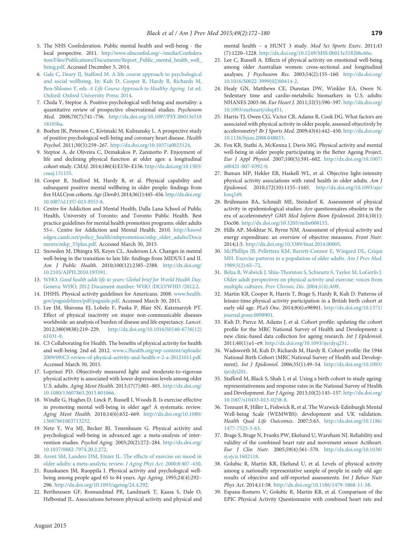- <span id="page-7-0"></span>5. The NHS Confederation. Public mental health and well-being - the local perspective. 2011. [http://www.nhsconfed.org/~/media/Confedera](http://www.nhsconfed.org/~/media/Confederation/Files/Publications/Documents/Report_Public_mental_health_well_being.pdf) [tion/Files/Publications/Documents/Report\\_Public\\_mental\\_health\\_well\\_](http://www.nhsconfed.org/~/media/Confederation/Files/Publications/Documents/Report_Public_mental_health_well_being.pdf) [being.pdf.](http://www.nhsconfed.org/~/media/Confederation/Files/Publications/Documents/Report_Public_mental_health_well_being.pdf) Accessed December 5, 2014.
- 6. [Gale C, Deary IJ, Stafford M. A life course approach to psychological](http://refhub.elsevier.com/S0749-3797(15)00126-9/sbref2) [and social wellbeing. In: Kuh D, Cooper R, Hardy R, Richards M,](http://refhub.elsevier.com/S0749-3797(15)00126-9/sbref2) Ben-Shlomo Y, eds. [A Life Course Approach to Healthy Ageing](http://refhub.elsevier.com/S0749-3797(15)00126-9/sbref2). 1st ed. [Oxford: Oxford University Press; 2014.](http://refhub.elsevier.com/S0749-3797(15)00126-9/sbref2)
- 7. Chida Y, Steptoe A. Positive psychological well-being and mortality: a quantitative review of prospective observational studies. Psychosom Med. 2008;70(7):741–756. [http://dx.doi.org/10.1097/PSY.0b013e318](http://dx.doi.org/10.1097/PSY.0b013e31818105ba) [18105ba](http://dx.doi.org/10.1097/PSY.0b013e31818105ba).
- 8. Boehm JK, Peterson C, Kivimaki M, Kubzansky L. A prospective study of positive psychological well-being and coronary heart disease. Health Psychol. 2011;30(3):259–267. <http://dx.doi.org/10.1037/a0023124>.
- 9. Steptoe A, de Oliveira C, Demakakos P, Zaninotto P. Enjoyment of life and declining physical function at older ages: a longitudinal cohort study. CMAJ. 2014;186(4):E150–E156. [http://dx.doi.org/10.1503/](http://dx.doi.org/10.1503/cmaj.131155) [cmaj.131155.](http://dx.doi.org/10.1503/cmaj.131155)
- 10. Cooper R, Stafford M, Hardy R, et al. Physical capability and subsequent positive mental wellbeing in older people: findings from five HALCyon cohorts. Age (Dordr). 2014;36(1):445–456. [http://dx.doi.org/](http://dx.doi.org/10.1007/s11357-013-9553-8) [10.1007/s11357-013-9553-8.](http://dx.doi.org/10.1007/s11357-013-9553-8)
- 11. Centre for Addiction and Mental Health, Dalla Lana School of Public Health, University of Toronto; and Toronto Public Health. Best practice guidelines for mental health promotion programs: older adults 55+. Centre for Addiction and Mental Health. 2010. [http://knowl](http://knowledgex.camh.net/policy_health/mhpromotion/mhp_older_adults/Documents/mhp_55plus.pdf) [edgex.camh.net/policy\\_health/mhpromotion/mhp\\_older\\_adults/Docu](http://knowledgex.camh.net/policy_health/mhpromotion/mhp_older_adults/Documents/mhp_55plus.pdf) [ments/mhp\\_55plus.pdf](http://knowledgex.camh.net/policy_health/mhpromotion/mhp_older_adults/Documents/mhp_55plus.pdf). Accessed March 30, 2015.
- 12. Snowden M, Dhingra SS, Keyes CL, Anderson LA. Changes in mental well-being in the transition to late life: findings from MIDUS I and II. Am J Public Health. 2010;100(12):2385–2388. [http://dx.doi.org/](http://dx.doi.org/10.2105/AJPH.2010.193391) [10.2105/AJPH.2010.193391.](http://dx.doi.org/10.2105/AJPH.2010.193391)
- 13. WHO. [Good health adds life to years: Global brief for World Health Day](http://refhub.elsevier.com/S0749-3797(15)00126-9/sbref8). [Geneva: WHO, 2012 Document number: WHO /DCO/WHD /2012.2.](http://refhub.elsevier.com/S0749-3797(15)00126-9/sbref8)
- 14. DHHS. Physical activity guidelines for Americans. 2008. [www.health.](www.health.gov/paguidelines/pdf/paguide.pdf) [gov/paguidelines/pdf/paguide.pdf](www.health.gov/paguidelines/pdf/paguide.pdf). Accessed March 30, 2015.
- 15. Lee IM, Shiroma EJ, Lobelo F, Puska P, Blair SN, Katzmarzyk PT. Effect of physical inactivity on major non-communicable diseases worldwide: an analysis of burden of disease and life expectancy. Lancet. 2012;380(9838):219–229. [http://dx.doi.org/10.1016/S0140-6736\(12\)](http://dx.doi.org/10.1016/S0140-6736(12)61031-9) [61031-9](http://dx.doi.org/10.1016/S0140-6736(12)61031-9).
- 16. C3 Collaborating for Health. The benefits of physical activity for health and well-being. 2nd ed. 2012. [www.c3health.org/wp-content/uploads/](www.c3health.org/wp-content/uploads/2009/09/C3-review-of-physical-activity-and-health-v-2-a-20121011.pdf) [2009/09/C3-review-of-physical-activity-and-health-v-2-a-20121011.pdf.](www.c3health.org/wp-content/uploads/2009/09/C3-review-of-physical-activity-and-health-v-2-a-20121011.pdf) Accessed March 30, 2015.
- 17. Loprinzi PD. Objectively measured light and moderate-to-vigorous physical activity is associated with lower depression levels among older U.S. adults. Aging Ment Health. 2013;17(7):801–805. [http://dx.doi.org/](http://dx.doi.org/10.1080/13607863.2013.801066) [10.1080/13607863.2013.801066.](http://dx.doi.org/10.1080/13607863.2013.801066)
- 18. Windle G, Hughes D, Linck P, Russell I, Woods B. Is exercise effective in promoting mental well-being in older age? A systematic review. Aging Ment Health. 2010;14(6):652–669. [http://dx.doi.org/10.1080/](http://dx.doi.org/10.1080/13607861003713232) [13607861003713232](http://dx.doi.org/10.1080/13607861003713232).
- 19. Netz Y, Wu MJ, Becker BJ, Tenenbaum G. Physical activity and psychological well-being in advanced age: a meta-analysis of intervention studies. Psychol Aging. 2005;20(2):272–284. [http://dx.doi.org/](http://dx.doi.org/10.1037/0882-7974.20.2.272) [10.1037/0882-7974.20.2.272](http://dx.doi.org/10.1037/0882-7974.20.2.272).
- 20. [Arent SM, Landers DM, Etnier JL. The effects of exercise on mood in](http://refhub.elsevier.com/S0749-3797(15)00126-9/sbref13) [older adults: a meta-analytic review.](http://refhub.elsevier.com/S0749-3797(15)00126-9/sbref13) J Aging Phys Act. 2000;8:407–430.
- 21. Ruuskanen JM, Ruoppila I. Physical activity and psychological wellbeing among people aged 65 to 84 years. Age Ageing. 1995;24(4):292– 296. [http://dx.doi.org/10.1093/ageing/24.4.292.](http://dx.doi.org/10.1093/ageing/24.4.292)
- 22. Bertheussen GF, Romundstad PR, Landmark T, Kaasa S, Dale O, Helbostad JL. Associations between physical activity and physical and

mental health – a HUNT 3 study. Med Sci Sports Exerc. 2011;43 (7):1220–1228. [http://dx.doi.org/10.1249/MSS.0b013e318206c66e.](http://dx.doi.org/10.1249/MSS.0b013e318206c66e)

- 23. Lee C, Russell A. Effects of physical activity on emotional well-being among older Australian women: cross-sectional and longitudinal analyses. J Psychosom Res. 2003;54(2):155–160. [http://dx.doi.org/](http://dx.doi.org/10.1016/S0022-3999(02)00414-2) [10.1016/S0022-3999\(02\)00414-2.](http://dx.doi.org/10.1016/S0022-3999(02)00414-2)
- 24. Healy GN, Matthews CE, Dunstan DW, Winkler EA, Owen N. Sedentary time and cardio-metabolic biomarkers in U.S. adults: NHANES 2003-06. Eur Heart J. 2011;32(5):590–597. [http://dx.doi.org/](http://dx.doi.org/10.1093/eurheartj/ehq451) [10.1093/eurheartj/ehq451](http://dx.doi.org/10.1093/eurheartj/ehq451).
- 25. Harris TJ, Owen CG, Victor CR, Adams R, Cook DG. What factors are associated with physical activity in older people, assessed objectively by accelerometry? Br J Sports Med. 2009;43(6):442–450. [http://dx.doi.org/](http://dx.doi.org/10.1136/bjsm.2008.048033) [10.1136/bjsm.2008.048033.](http://dx.doi.org/10.1136/bjsm.2008.048033)
- 26. Fox KR, Stathi A, McKenna J, Davis MG. Physical activity and mental well-being in older people participating in the Better Ageing Project. Eur J Appl Physiol. 2007;100(5):591–602. [http://dx.doi.org/10.1007/](http://dx.doi.org/10.1007/s00421-007-0392-0) [s00421-007-0392-0](http://dx.doi.org/10.1007/s00421-007-0392-0).
- 27. Buman MP, Hekler EB, Haskell WL, et al. Objective light-intensity physical activity associations with rated health in older adults. Am J Epidemiol. 2010;172(10):1155–1165. [http://dx.doi.org/10.1093/aje/](http://dx.doi.org/10.1093/aje/&!QJ;kwq249) [kwq249](http://dx.doi.org/10.1093/aje/&!QJ;kwq249).
- 28. Brühmann BA, Schmidt ME, Steindorf K. Assessment of physical activity in epidemiological studies: Are questionnaires obsolete in the era of accelerometry? GMS Med Inform Biom Epidemiol. 2014;10(1): Doc06. <http://dx.doi.org/10.3205/mibe000155>.
- 29. Hills AP, Mokhtar N, Byrne NM. Assessment of physical activity and energy expenditure: an overview of objective measures. Front Nutr. 2014;1:5. <http://dx.doi.org/10.3389/fnut.2014.00005>.
- 30. [McPhillips JB, Pellettera KM, Barrett-Connor E, Wingard DL, Criqui](http://refhub.elsevier.com/S0749-3797(15)00126-9/sbref23) [MH. Exercise patterns in a population of older adults.](http://refhub.elsevier.com/S0749-3797(15)00126-9/sbref23) Am J Prev Med. [1989;5\(2\):65](http://refhub.elsevier.com/S0749-3797(15)00126-9/sbref23)–72.
- 31. [Belza B, Walwick J, Shiu-Thornton S, Schwartz S, Taylor M, LoGerfo J.](http://refhub.elsevier.com/S0749-3797(15)00126-9/sbref24) [Older adult perspectives on physical activity and exercise: voices from](http://refhub.elsevier.com/S0749-3797(15)00126-9/sbref24) [multiple cultures.](http://refhub.elsevier.com/S0749-3797(15)00126-9/sbref24) Prev Chronic Dis. 2004;1(4):A09.
- 32. Martin KR, Cooper R, Harris T, Brage S, Hardy R, Kuh D. Patterns of leisure-time physical activity participation in a British birth cohort at early old age. PLoS One. 2014;9(6):e98901. [http://dx.doi.org/10.1371/](http://dx.doi.org/10.1371/journal.pone.0098901) [journal.pone.0098901](http://dx.doi.org/10.1371/journal.pone.0098901).
- 33. Kuh D, Pierce M, Adams J, et al. Cohort profile: updating the cohort profile for the MRC National Survey of Health and Development: a new clinic-based data collection for ageing research. Int J Epidemiol. 2011;40(1):e1–e9. <http://dx.doi.org/10.1093/ije/dyq231>.
- 34. Wadsworth M, Kuh D, Richards M, Hardy R. Cohort profile: the 1946 National Birth Cohort (MRC National Survey of Health and Development). Int J Epidemiol. 2006;35(1):49–54. [http://dx.doi.org/10.1093/](http://dx.doi.org/10.1093/ije/dyi201) [ije/dyi201.](http://dx.doi.org/10.1093/ije/dyi201)
- 35. Stafford M, Black S, Shah I, et al. Using a birth cohort to study ageing: representativeness and response rates in the National Survey of Health and Development. Eur J Ageing. 2013;10(2):145–157. [http://dx.doi.org/](http://dx.doi.org/10.1007/s10433-013-0258-8) [10.1007/s10433-013-0258-8.](http://dx.doi.org/10.1007/s10433-013-0258-8)
- 36. Tennant R, Hiller L, Fishwick R, et al. The Warwick-Edinburgh Mental Well-being Scale (WEMWBS): development and UK validation. Health Qual Life Outcomes. 2007;5:63. [http://dx.doi.org/10.1186/](http://dx.doi.org/10.1186/1477-7525-5-63) [1477-7525-5-63.](http://dx.doi.org/10.1186/1477-7525-5-63)
- 37. Brage S, Brage N, Franks PW, Ekelund U, Wareham NJ. Reliability and validity of the combined heart rate and movement sensor Actiheart. Eur J Clin Nutr. 2005;59(4):561–570. [http://dx.doi.org/10.1038/](http://dx.doi.org/10.1038/sj.ejcn.1602118) [sj.ejcn.1602118](http://dx.doi.org/10.1038/sj.ejcn.1602118).
- 38. Golubic R, Martin KR, Ekelund U, et al. Levels of physical activity among a nationally representative sample of people in early old age: results of objective and self-reported assessments. Int J Behav Nutr Phys Act. 2014;11:58. [http://dx.doi.org/10.1186/1479-5868-11-58.](http://dx.doi.org/10.1186/1479-5868-11-58)
- 39. Espana-Romero V, Golubic R, Martin KR, et al. Comparison of the EPIC Physical Activity Questionnaire with combined heart rate and